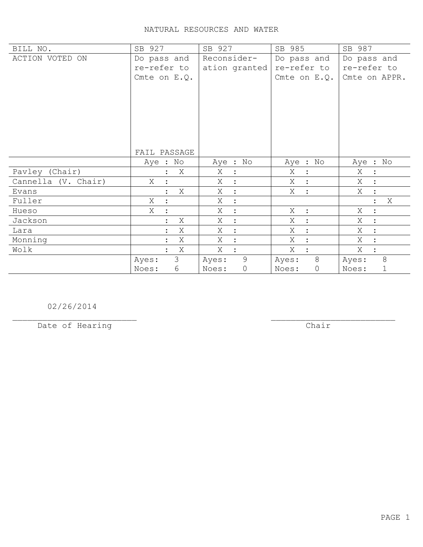| BILL NO.            | SB 927         | SB 927              | SB 985                  | SB 987                              |
|---------------------|----------------|---------------------|-------------------------|-------------------------------------|
| ACTION VOTED ON     | Do pass and    | Reconsider-         | Do pass and             | Do pass and                         |
|                     | re-refer to    | ation granted       | re-refer to             | re-refer to                         |
|                     | Cmte on $E.Q.$ |                     | Cmte on $E.Q.$          | Cmte on APPR.                       |
|                     |                |                     |                         |                                     |
|                     |                |                     |                         |                                     |
|                     |                |                     |                         |                                     |
|                     |                |                     |                         |                                     |
|                     |                |                     |                         |                                     |
|                     |                |                     |                         |                                     |
|                     | FAIL PASSAGE   |                     |                         |                                     |
|                     | Aye : No       | Aye : No            | Aye : No                | Aye : No                            |
| Pavley (Chair)      | Χ              | Χ<br>$\ddot{\cdot}$ | Χ<br>$\ddot{\cdot}$     | Χ<br>$\ddot{\cdot}$                 |
| Cannella (V. Chair) | X              | X<br>$\ddot{\cdot}$ | X                       | X<br>$\ddot{\cdot}$                 |
| Evans               | Χ              | Χ<br>$\ddot{\cdot}$ | X<br>$\ddot{\cdot}$     | Χ<br>$\ddot{\cdot}$                 |
| Fuller              | Χ              | Χ<br>$\ddot{\cdot}$ |                         | X<br>$\ddot{\cdot}$                 |
| Hueso               | Χ              | Χ<br>$\ddot{\cdot}$ | Χ<br>$\ddot{\cdot}$     | Χ<br>$\ddot{\cdot}$                 |
| Jackson             | Χ              | Χ<br>$\ddot{\cdot}$ | X<br>$\ddot{\cdot}$     | X<br>$\ddot{\cdot}$                 |
| Lara                | Χ              | Χ<br>$\ddot{\cdot}$ | Χ<br>$\cdot$            | Χ<br>$\ddot{\cdot}$                 |
| Monning             | X              | X<br>$\ddot{\cdot}$ | X                       | $X_{\mathcal{L}}$<br>$\ddot{\cdot}$ |
| Wolk                | X              | X                   | X                       | Χ<br>$\ddot{\cdot}$                 |
|                     | 3<br>Ayes:     | 9<br>Ayes:          | 8<br>Ayes:              | 8<br>Ayes:                          |
|                     | 6<br>Noes:     | $\circ$<br>Noes:    | $\overline{0}$<br>Noes: | 1<br>Noes:                          |

02/26/2014

Date of Hearing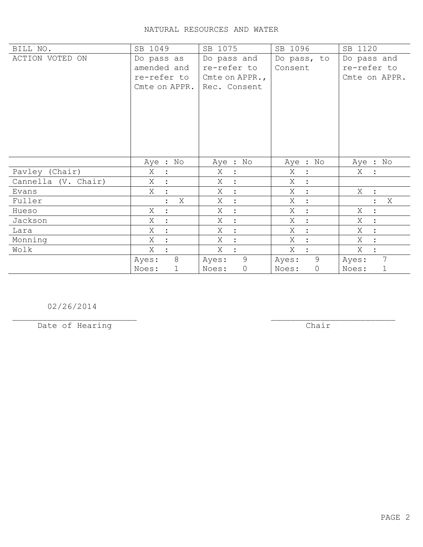| BILL NO.            | SB 1049             | SB 1075                      | SB 1096              | SB 1120             |
|---------------------|---------------------|------------------------------|----------------------|---------------------|
| ACTION VOTED ON     | Do pass as          | Do pass and                  | Do pass, to          | Do pass and         |
|                     | amended and         | re-refer to                  | Consent              | re-refer to         |
|                     | re-refer to         | Cmte on APPR.,               |                      | Cmte on APPR.       |
|                     | Cmte on APPR.       | Rec. Consent                 |                      |                     |
|                     |                     |                              |                      |                     |
|                     |                     |                              |                      |                     |
|                     |                     |                              |                      |                     |
|                     |                     |                              |                      |                     |
|                     |                     |                              |                      |                     |
|                     |                     |                              |                      |                     |
|                     |                     |                              |                      |                     |
|                     | Aye : No            | Aye : No                     | Aye : No             | Aye : No            |
| Pavley (Chair)      | Χ<br>$\ddot{\cdot}$ | X<br>$\mathbb{R}^2$          | Χ<br>$\ddot{\cdot}$  | Χ                   |
| Cannella (V. Chair) | X                   | X<br>$\ddot{\cdot}$          | X                    |                     |
| Evans               | X<br>$\ddot{\cdot}$ | Χ<br>$\sim$ 1 $^{\circ}$     | Χ<br>$\ddot{\cdot}$  | X :                 |
| Fuller              | Χ                   | X<br>$\mathbb{R}^2$          | Χ<br>$\ddot{\cdot}$  | X<br>$\ddot{\cdot}$ |
| Hueso               | Χ<br>$\ddot{\cdot}$ | Χ<br>$\ddot{\cdot}$          | Χ<br>$\ddot{\cdot}$  | Χ<br>$\ddot{\cdot}$ |
| Jackson             | X                   | X<br>$\ddot{\cdot}$          | Χ<br>$\ddot{\cdot}$  | X<br>$\ddot{\cdot}$ |
| Lara                | Χ                   | Χ<br>$\ddot{\cdot}$          | Χ<br>$\ddot{\cdot}$  | Χ<br>$\ddot{\cdot}$ |
| Monning             | Χ                   | X<br>$\ddot{\cdot}$          | X<br>$\ddot{\cdot}$  | X<br>$\ddot{\cdot}$ |
| Wolk                | X                   | Χ<br>$\ddot{\cdot}$          | X                    | Χ<br>$\ddot{\cdot}$ |
|                     | 8<br>Ayes:          | $\overline{9}$<br>Ayes:      | 9<br>Ayes:           | 7<br>Ayes:          |
|                     | 1<br>Noes:          | $\mathsf{O}\xspace$<br>Noes: | $\mathbf 0$<br>Noes: | Noes:<br>1          |

02/26/2014

Date of Hearing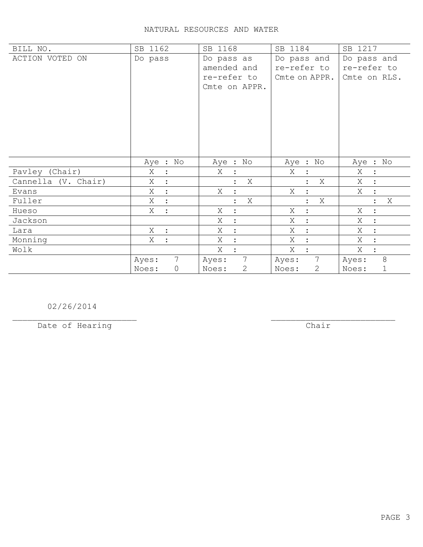| BILL NO.            | SB 1162                   | SB 1168                  | SB 1184               | SB 1217                   |
|---------------------|---------------------------|--------------------------|-----------------------|---------------------------|
| ACTION VOTED ON     | Do pass                   | Do pass as               | Do pass and           | Do pass and               |
|                     |                           | amended and              | re-refer to           | re-refer to               |
|                     |                           | re-refer to              | Cmte on APPR.         | Cmte on RLS.              |
|                     |                           | Cmte on APPR.            |                       |                           |
|                     |                           |                          |                       |                           |
|                     |                           |                          |                       |                           |
|                     |                           |                          |                       |                           |
|                     |                           |                          |                       |                           |
|                     |                           |                          |                       |                           |
|                     |                           |                          |                       |                           |
|                     | Aye : No                  | Aye : No                 | Aye : No              | Aye : No                  |
| Pavley (Chair)      | Χ                         | X                        | Χ                     | Χ<br>$\ddot{\cdot}$       |
| Cannella (V. Chair) | X                         | X                        | X                     | X                         |
| Evans               | Χ<br>$\ddot{\cdot}$       | Χ                        | Χ<br>$\ddot{\cdot}$   | Χ<br>$\ddot{\cdot}$       |
| Fuller              | X<br>$\ddot{\cdot}$       | X                        | Χ                     | X                         |
| Hueso               | Χ<br>$\ddot{ }$           | X<br>$\ddot{\cdot}$      | X<br>$\ddot{\cdot}$   | Χ<br>$\ddot{\phantom{a}}$ |
| Jackson             |                           | Χ<br>$\ddot{\cdot}$      | Χ                     | X<br>$\ddot{\cdot}$       |
| Lara                | X<br>$\ddot{\phantom{a}}$ | Χ                        | Χ                     | Χ<br>$\ddot{\cdot}$       |
| Monning             | Χ                         | Χ<br>$\ddot{\cdot}$      | Χ                     | Χ<br>$\ddot{\cdot}$       |
| Wolk                |                           | Χ                        | Χ                     | Χ                         |
|                     | $7\overline{ }$<br>Ayes:  | $7\overline{ }$<br>Ayes: | 7<br>Ayes:            | $8\,$<br>Ayes:            |
|                     | 0<br>Noes:                | $\mathbf{2}$<br>Noes:    | $\mathbf{2}$<br>Noes: | 1<br>Noes:                |

02/26/2014

Date of Hearing